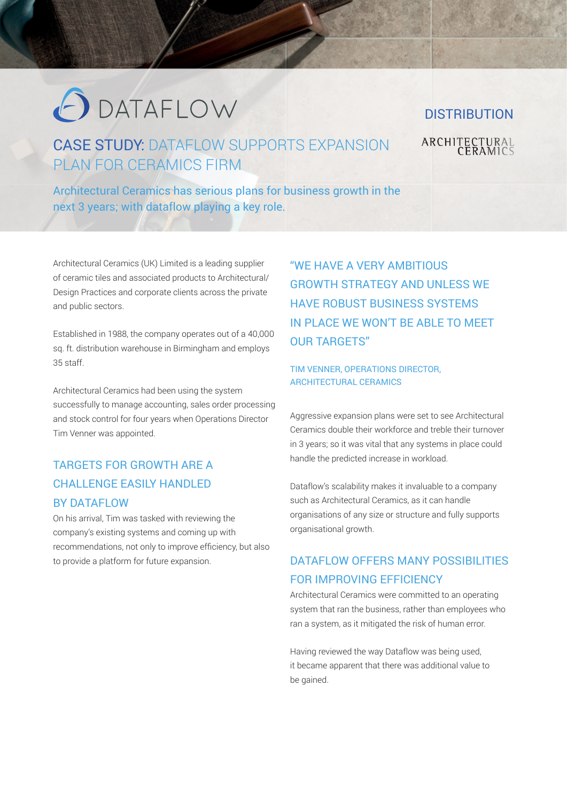# O DATAFLOW

### CASE STUDY: DATAFLOW SUPPORTS EXPANSION PLAN FOR CERAMICS FIRM

Architectural Ceramics has serious plans for business growth in the next 3 years; with dataflow playing a key role.

Architectural Ceramics (UK) Limited is a leading supplier of ceramic tiles and associated products to Architectural/ Design Practices and corporate clients across the private and public sectors.

Established in 1988, the company operates out of a 40,000 sq. ft. distribution warehouse in Birmingham and employs 35 staff.

Architectural Ceramics had been using the system successfully to manage accounting, sales order processing and stock control for four years when Operations Director Tim Venner was appointed.

#### TARGETS FOR GROWTH ARE A CHALLENGE EASILY HANDLED BY DATAFLOW

On his arrival, Tim was tasked with reviewing the company's existing systems and coming up with recommendations, not only to improve efficiency, but also to provide a platform for future expansion.

"WE HAVE A VERY AMBITIOUS GROWTH STRATEGY AND UNLESS WE HAVE ROBUST BUSINESS SYSTEMS IN PLACE WE WON'T BE ABLE TO MEET OUR TARGETS"

#### TIM VENNER, OPERATIONS DIRECTOR, ARCHITECTURAL CERAMICS

Aggressive expansion plans were set to see Architectural Ceramics double their workforce and treble their turnover in 3 years; so it was vital that any systems in place could handle the predicted increase in workload.

Dataflow's scalability makes it invaluable to a company such as Architectural Ceramics, as it can handle organisations of any size or structure and fully supports organisational growth.

#### DATAFLOW OFFERS MANY POSSIBILITIES FOR IMPROVING EFFICIENCY

Architectural Ceramics were committed to an operating system that ran the business, rather than employees who ran a system, as it mitigated the risk of human error.

Having reviewed the way Dataflow was being used, it became apparent that there was additional value to be gained.

## **DISTRIBUTION ARCHITECTURAL**